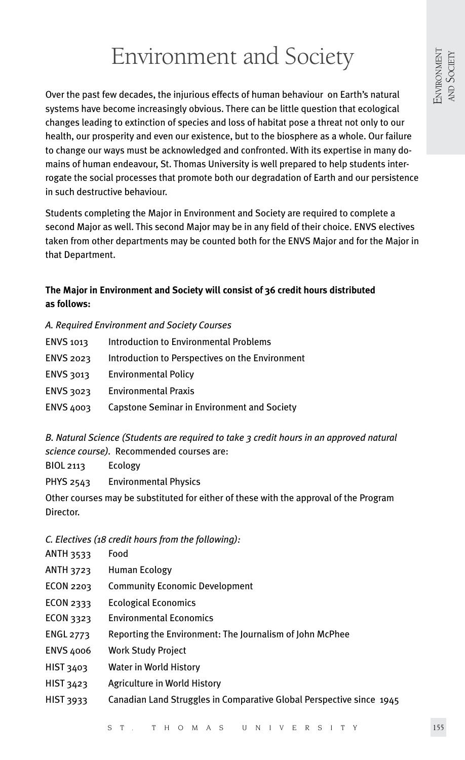# Environment and Society

Over the past few decades, the injurious effects of human behaviour on Earth's natural systems have become increasingly obvious. There can be little question that ecological changes leading to extinction of species and loss of habitat pose a threat not only to our health, our prosperity and even our existence, but to the biosphere as a whole. Our failure to change our ways must be acknowledged and confronted. With its expertise in many domains of human endeavour, St. Thomas University is well prepared to help students interrogate the social processes that promote both our degradation of Earth and our persistence in such destructive behaviour.

Students completing the Major in Environment and Society are required to complete a second Major as well. This second Major may be in any field of their choice. ENVS electives taken from other departments may be counted both for the ENVS Major and for the Major in that Department.

## **The Major in Environment and Society will consist of 36 credit hours distributed as follows:**

### *A. Required Environment and Society Courses*

| ENVS 1013        | <b>Introduction to Environmental Problems</b>   |
|------------------|-------------------------------------------------|
| <b>ENVS 2023</b> | Introduction to Perspectives on the Environment |
| <b>ENVS 3013</b> | <b>Environmental Policy</b>                     |
| ENVS 3023        | <b>Environmental Praxis</b>                     |
| <b>ENVS 4003</b> | Capstone Seminar in Environment and Society     |

*B. Natural Science (Students are required to take 3 credit hours in an approved natural science course).* Recommended courses are:

BIOL 2113 Ecology

PHYS 2543 Environmental Physics

Other courses may be substituted for either of these with the approval of the Program Director.

## *C. Electives (18 credit hours from the following):*

- ANTH 3533 Food
- ANTH 3723 Human Ecology
- ECON 2203 Community Economic Development
- ECON 2333 Ecological Economics
- ECON 3323 Environmental Economics
- ENGL 2773 Reporting the Environment: The Journalism of John McPhee
- ENVS 4006 Work Study Project
- HIST 3403 Water in World History
- HIST 3423 Agriculture in World History
- HIST 3933 Canadian Land Struggles in Comparative Global Perspective since 1945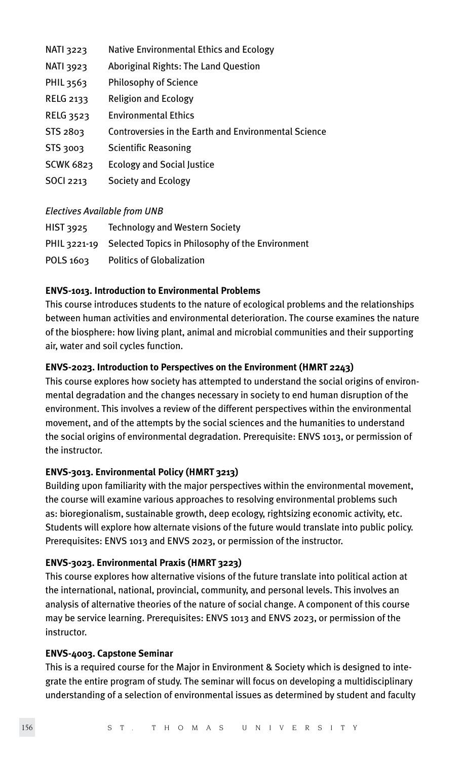| <b>NATI 3223</b> | Native Environmental Ethics and Ecology              |
|------------------|------------------------------------------------------|
| <b>NATI 3923</b> | Aboriginal Rights: The Land Question                 |
| PHIL 3563        | <b>Philosophy of Science</b>                         |
| <b>RELG 2133</b> | <b>Religion and Ecology</b>                          |
| RELG 3523        | <b>Environmental Ethics</b>                          |
| STS 2803         | Controversies in the Earth and Environmental Science |
| STS 3003         | <b>Scientific Reasoning</b>                          |
| <b>SCWK 6823</b> | <b>Ecology and Social Justice</b>                    |
| <b>SOCI 2213</b> | Society and Ecology                                  |

#### *Electives Available from UNB*

| <b>HIST 3925</b> | <b>Technology and Western Society</b>                         |
|------------------|---------------------------------------------------------------|
|                  | PHIL 3221-19 Selected Topics in Philosophy of the Environment |
| POLS 1603        | <b>Politics of Globalization</b>                              |

#### **ENVS-1013. Introduction to Environmental Problems**

This course introduces students to the nature of ecological problems and the relationships between human activities and environmental deterioration. The course examines the nature of the biosphere: how living plant, animal and microbial communities and their supporting air, water and soil cycles function.

#### **ENVS-2023. Introduction to Perspectives on the Environment (HMRT 2243)**

This course explores how society has attempted to understand the social origins of environmental degradation and the changes necessary in society to end human disruption of the environment. This involves a review of the different perspectives within the environmental movement, and of the attempts by the social sciences and the humanities to understand the social origins of environmental degradation. Prerequisite: ENVS 1013, or permission of the instructor.

#### **ENVS-3013. Environmental Policy (HMRT 3213)**

Building upon familiarity with the major perspectives within the environmental movement, the course will examine various approaches to resolving environmental problems such as: bioregionalism, sustainable growth, deep ecology, rightsizing economic activity, etc. Students will explore how alternate visions of the future would translate into public policy. Prerequisites: ENVS 1013 and ENVS 2023, or permission of the instructor.

#### **ENVS-3023. Environmental Praxis (HMRT 3223)**

This course explores how alternative visions of the future translate into political action at the international, national, provincial, community, and personal levels. This involves an analysis of alternative theories of the nature of social change. A component of this course may be service learning. Prerequisites: ENVS 1013 and ENVS 2023, or permission of the instructor.

#### **ENVS-4003. Capstone Seminar**

This is a required course for the Major in Environment & Society which is designed to integrate the entire program of study. The seminar will focus on developing a multidisciplinary understanding of a selection of environmental issues as determined by student and faculty